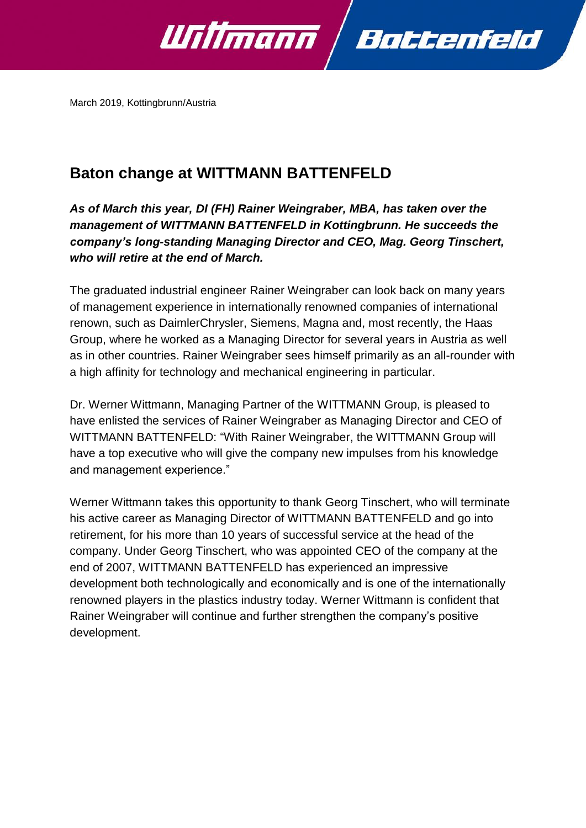

March 2019, Kottingbrunn/Austria

## **Baton change at WITTMANN BATTENFELD**

*As of March this year, DI (FH) Rainer Weingraber, MBA, has taken over the management of WITTMANN BATTENFELD in Kottingbrunn. He succeeds the company's long-standing Managing Director and CEO, Mag. Georg Tinschert, who will retire at the end of March.*

The graduated industrial engineer Rainer Weingraber can look back on many years of management experience in internationally renowned companies of international renown, such as DaimlerChrysler, Siemens, Magna and, most recently, the Haas Group, where he worked as a Managing Director for several years in Austria as well as in other countries. Rainer Weingraber sees himself primarily as an all-rounder with a high affinity for technology and mechanical engineering in particular.

Dr. Werner Wittmann, Managing Partner of the WITTMANN Group, is pleased to have enlisted the services of Rainer Weingraber as Managing Director and CEO of WITTMANN BATTENFELD: "With Rainer Weingraber, the WITTMANN Group will have a top executive who will give the company new impulses from his knowledge and management experience."

Werner Wittmann takes this opportunity to thank Georg Tinschert, who will terminate his active career as Managing Director of WITTMANN BATTENFELD and go into retirement, for his more than 10 years of successful service at the head of the company. Under Georg Tinschert, who was appointed CEO of the company at the end of 2007, WITTMANN BATTENFELD has experienced an impressive development both technologically and economically and is one of the internationally renowned players in the plastics industry today. Werner Wittmann is confident that Rainer Weingraber will continue and further strengthen the company's positive development.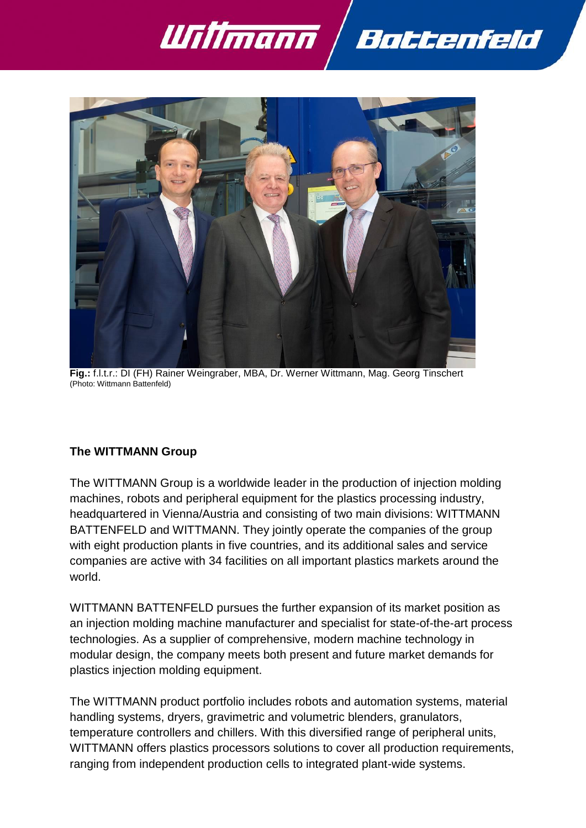



**Fig.:** f.l.t.r.: DI (FH) Rainer Weingraber, MBA, Dr. Werner Wittmann, Mag. Georg Tinschert (Photo: Wittmann Battenfeld)

## **The WITTMANN Group**

The WITTMANN Group is a worldwide leader in the production of injection molding machines, robots and peripheral equipment for the plastics processing industry, headquartered in Vienna/Austria and consisting of two main divisions: WITTMANN BATTENFELD and WITTMANN. They jointly operate the companies of the group with eight production plants in five countries, and its additional sales and service companies are active with 34 facilities on all important plastics markets around the world.

WITTMANN BATTENFELD pursues the further expansion of its market position as an injection molding machine manufacturer and specialist for state-of-the-art process technologies. As a supplier of comprehensive, modern machine technology in modular design, the company meets both present and future market demands for plastics injection molding equipment.

The WITTMANN product portfolio includes robots and automation systems, material handling systems, dryers, gravimetric and volumetric blenders, granulators, temperature controllers and chillers. With this diversified range of peripheral units, WITTMANN offers plastics processors solutions to cover all production requirements, ranging from independent production cells to integrated plant-wide systems.